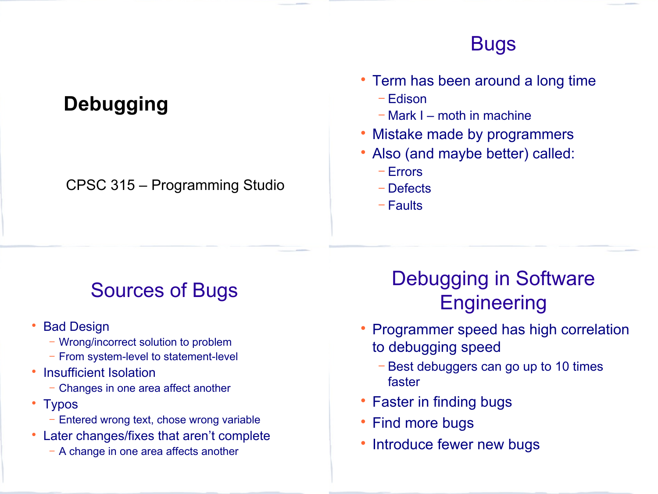### Bugs

# **Debugging**

#### CPSC 315 – Programming Studio

#### • Term has been around a long time

- − Edison
- − Mark I moth in machine
- Mistake made by programmers
- Also (and maybe better) called:
	- − Errors
	- − Defects
	- − Faults

# Sources of Bugs

- Bad Design
	- − Wrong/incorrect solution to problem
	- − From system-level to statement-level
- Insufficient Isolation
	- − Changes in one area affect another
- Typos
	- − Entered wrong text, chose wrong variable
- Later changes/fixes that aren't complete
	- − A change in one area affects another

# Debugging in Software **Engineering**

- Programmer speed has high correlation to debugging speed
	- − Best debuggers can go up to 10 times faster
- Faster in finding bugs
- Find more bugs
- Introduce fewer new bugs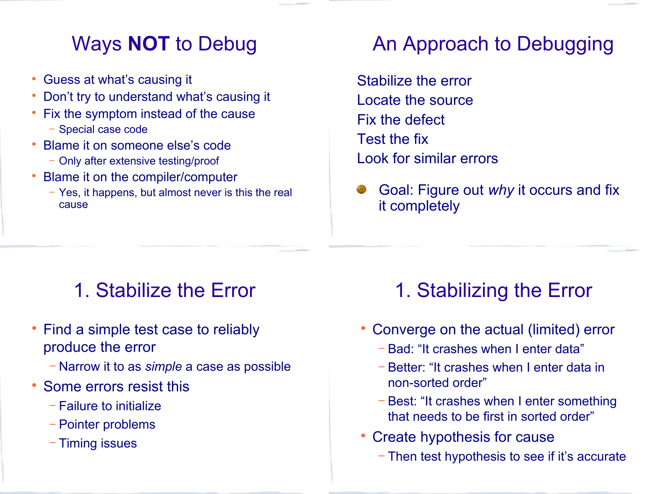#### Ways **NOT** to Debug

- Guess at what's causing it
- Don't try to understand what's causing it
- Fix the symptom instead of the cause
	- − Special case code
- Blame it on someone else's code
	- − Only after extensive testing/proof
- Blame it on the compiler/computer
	- − Yes, it happens, but almost never is this the real cause

## An Approach to Debugging

Stabilize the error Locate the source Fix the defect Test the fix Look for similar errors

Goal: Figure out *why* it occurs and fix it completely

## 1. Stabilize the Error

- Find a simple test case to reliably produce the error
	- − Narrow it to as *simple* a case as possible
- Some errors resist this
	- − Failure to initialize
	- − Pointer problems
	- − Timing issues

# 1. Stabilizing the Error

- Converge on the actual (limited) error
	- − Bad: "It crashes when I enter data"
	- − Better: "It crashes when I enter data in non-sorted order"
	- − Best: "It crashes when I enter something that needs to be first in sorted order"
- Create hypothesis for cause
	- − Then test hypothesis to see if it's accurate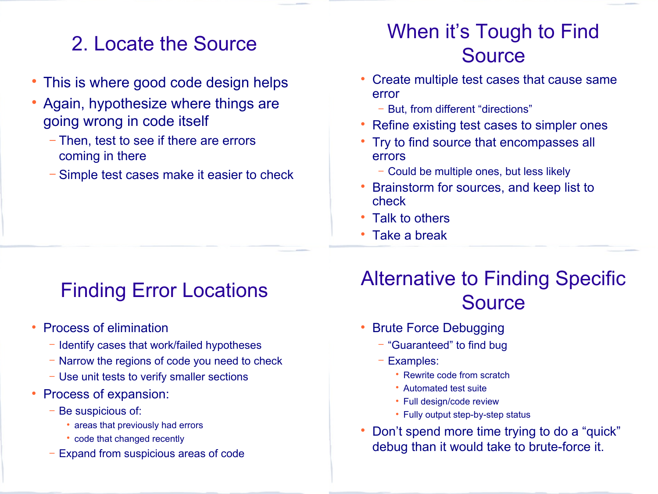### 2. Locate the Source

- This is where good code design helps
- Again, hypothesize where things are going wrong in code itself
	- − Then, test to see if there are errors coming in there
	- − Simple test cases make it easier to check

## When it's Tough to Find Source

- Create multiple test cases that cause same error
	- − But, from different "directions"
- Refine existing test cases to simpler ones
- Try to find source that encompasses all errors
	- − Could be multiple ones, but less likely
- Brainstorm for sources, and keep list to check
- Talk to others
- Take a break

## Finding Error Locations

- Process of elimination
	- − Identify cases that work/failed hypotheses
	- − Narrow the regions of code you need to check
	- − Use unit tests to verify smaller sections
- Process of expansion:
	- − Be suspicious of:
		- areas that previously had errors
		- code that changed recently
	- Expand from suspicious areas of code

# Alternative to Finding Specific **Source**

- Brute Force Debugging
	- − "Guaranteed" to find bug
	- − Examples:
		- Rewrite code from scratch
		- Automated test suite
		- Full design/code review
		- Fully output step-by-step status
- Don't spend more time trying to do a "quick" debug than it would take to brute-force it.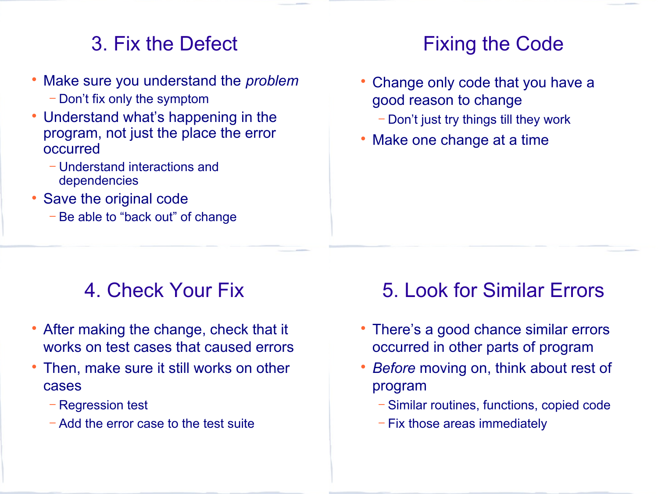### 3. Fix the Defect

- Make sure you understand the *problem*
	- − Don't fix only the symptom
- Understand what's happening in the program, not just the place the error occurred
	- − Understand interactions and dependencies
- Save the original code
	- − Be able to "back out" of change

### Fixing the Code

- Change only code that you have a good reason to change
	- − Don't just try things till they work
- Make one change at a time

## 4. Check Your Fix

- After making the change, check that it works on test cases that caused errors
- Then, make sure it still works on other cases
	- − Regression test
	- − Add the error case to the test suite

#### 5. Look for Similar Errors

- There's a good chance similar errors occurred in other parts of program
- *Before* moving on, think about rest of program
	- − Similar routines, functions, copied code
	- − Fix those areas immediately